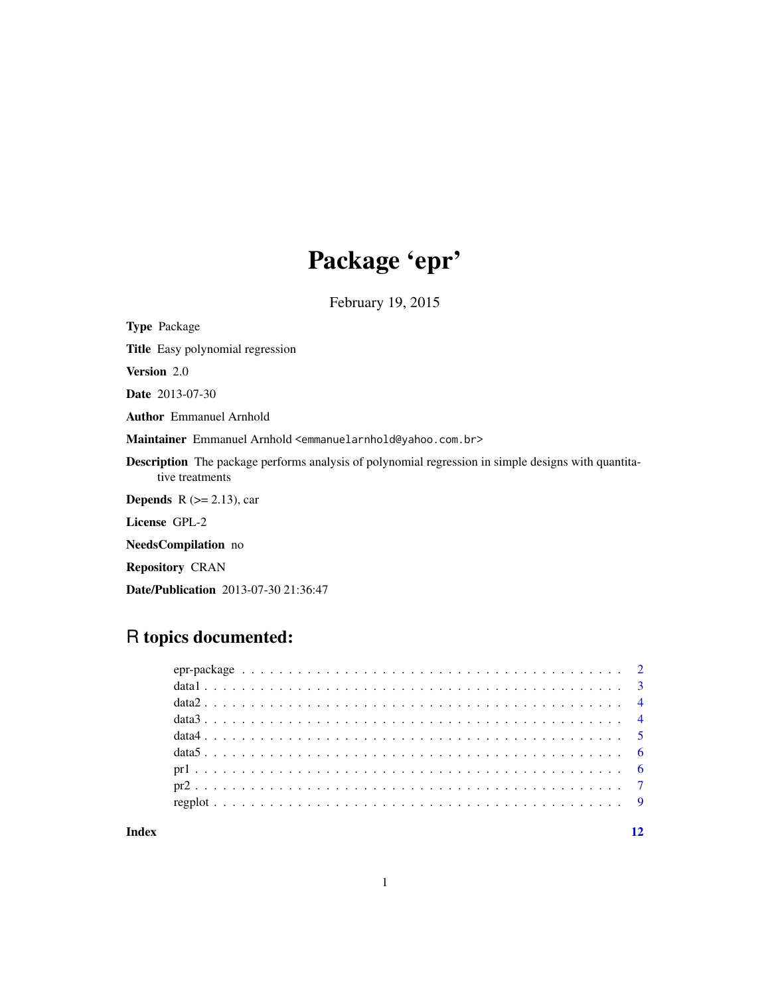## Package 'epr'

February 19, 2015

Type Package Title Easy polynomial regression Version 2.0 Date 2013-07-30 Author Emmanuel Arnhold Maintainer Emmanuel Arnhold <emmanuelarnhold@yahoo.com.br> Description The package performs analysis of polynomial regression in simple designs with quantitative treatments **Depends** R  $(>= 2.13)$ , car License GPL-2 NeedsCompilation no

Repository CRAN

Date/Publication 2013-07-30 21:36:47

### R topics documented:

#### **Index** [12](#page-11-0)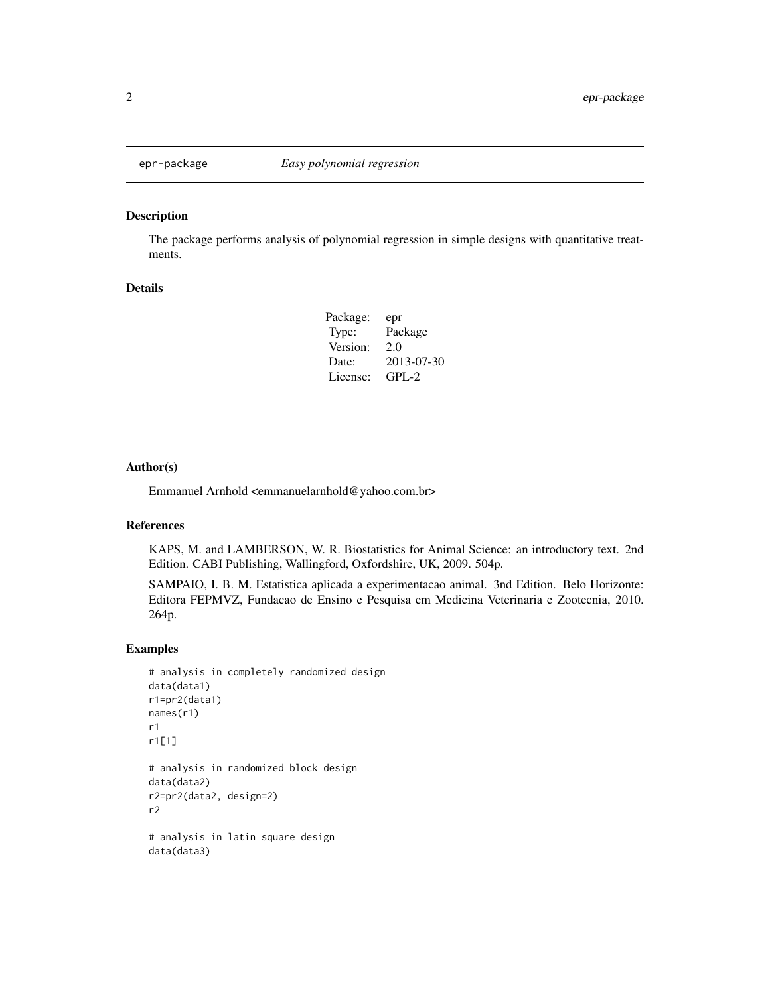<span id="page-1-0"></span>

#### Description

The package performs analysis of polynomial regression in simple designs with quantitative treatments.

#### Details

| epr        |
|------------|
| Package    |
| 2.0        |
| 2013-07-30 |
| $GPI - 2$  |
|            |

#### Author(s)

Emmanuel Arnhold <emmanuelarnhold@yahoo.com.br>

#### References

KAPS, M. and LAMBERSON, W. R. Biostatistics for Animal Science: an introductory text. 2nd Edition. CABI Publishing, Wallingford, Oxfordshire, UK, 2009. 504p.

SAMPAIO, I. B. M. Estatistica aplicada a experimentacao animal. 3nd Edition. Belo Horizonte: Editora FEPMVZ, Fundacao de Ensino e Pesquisa em Medicina Veterinaria e Zootecnia, 2010. 264p.

#### Examples

```
# analysis in completely randomized design
data(data1)
r1=pr2(data1)
names(r1)
r1
r1[1]
# analysis in randomized block design
data(data2)
r2=pr2(data2, design=2)
r2
# analysis in latin square design
data(data3)
```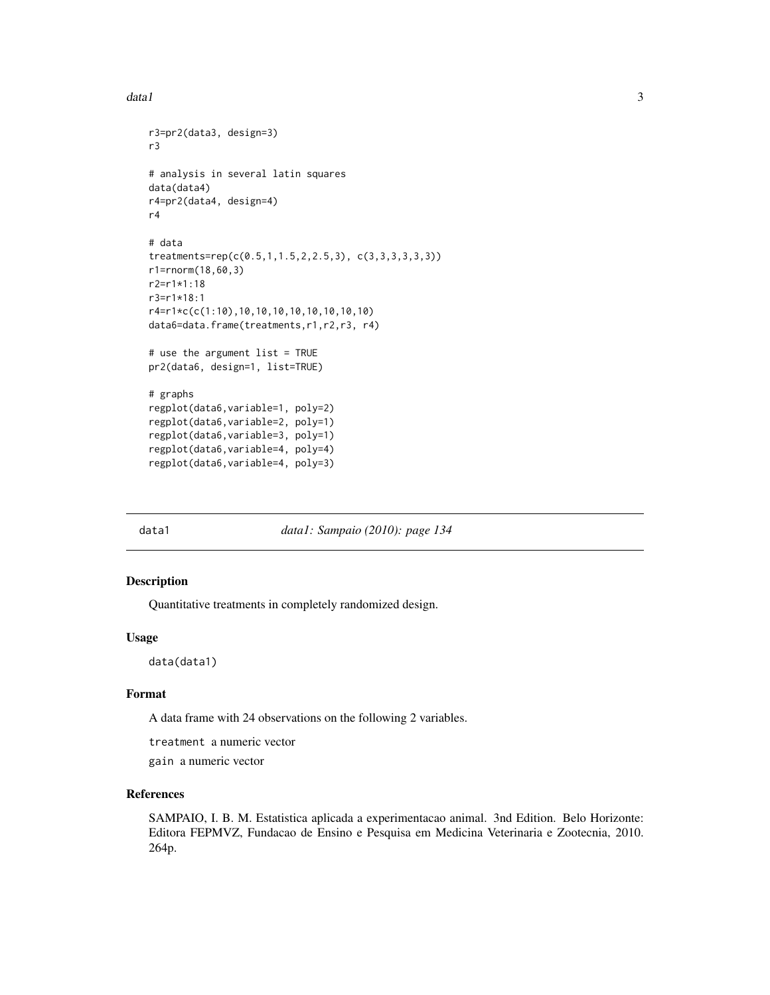```
r3=pr2(data3, design=3)
r3
# analysis in several latin squares
data(data4)
r4=pr2(data4, design=4)
r4
# data
treatments=rep(c(0.5,1,1.5,2,2.5,3), c(3,3,3,3,3,3))
r1=rnorm(18,60,3)
r2=r1*1:18
r3=r1*18:1
r4=r1*c(c(1:10),10,10,10,10,10,10,10,10)
data6=data.frame(treatments,r1,r2,r3, r4)
# use the argument list = TRUE
pr2(data6, design=1, list=TRUE)
# graphs
regplot(data6,variable=1, poly=2)
regplot(data6,variable=2, poly=1)
regplot(data6,variable=3, poly=1)
regplot(data6,variable=4, poly=4)
regplot(data6,variable=4, poly=3)
```
data1 *data1: Sampaio (2010): page 134*

#### Description

Quantitative treatments in completely randomized design.

#### Usage

data(data1)

#### Format

A data frame with 24 observations on the following 2 variables.

treatment a numeric vector

gain a numeric vector

#### References

SAMPAIO, I. B. M. Estatistica aplicada a experimentacao animal. 3nd Edition. Belo Horizonte: Editora FEPMVZ, Fundacao de Ensino e Pesquisa em Medicina Veterinaria e Zootecnia, 2010. 264p.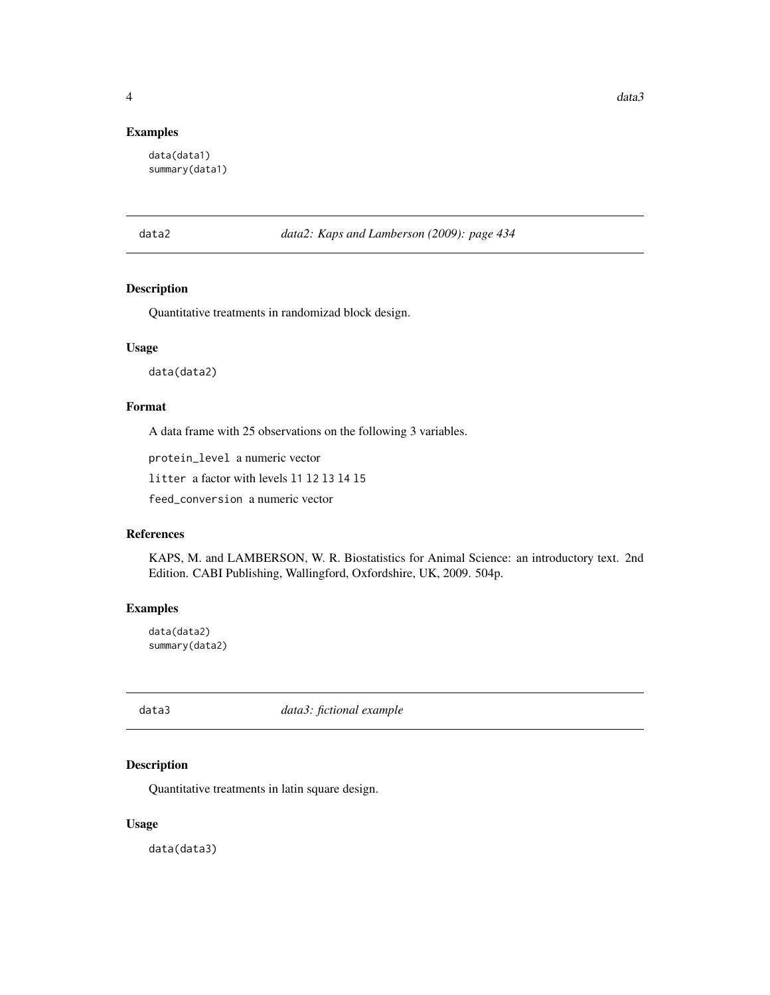#### <span id="page-3-0"></span>Examples

data(data1) summary(data1)

data2 *data2: Kaps and Lamberson (2009): page 434*

#### Description

Quantitative treatments in randomizad block design.

#### Usage

data(data2)

#### Format

A data frame with 25 observations on the following 3 variables.

protein\_level a numeric vector

litter a factor with levels l1 l2 l3 l4 l5

feed\_conversion a numeric vector

#### References

KAPS, M. and LAMBERSON, W. R. Biostatistics for Animal Science: an introductory text. 2nd Edition. CABI Publishing, Wallingford, Oxfordshire, UK, 2009. 504p.

#### Examples

data(data2) summary(data2)

data3 *data3: fictional example*

#### Description

Quantitative treatments in latin square design.

#### Usage

data(data3)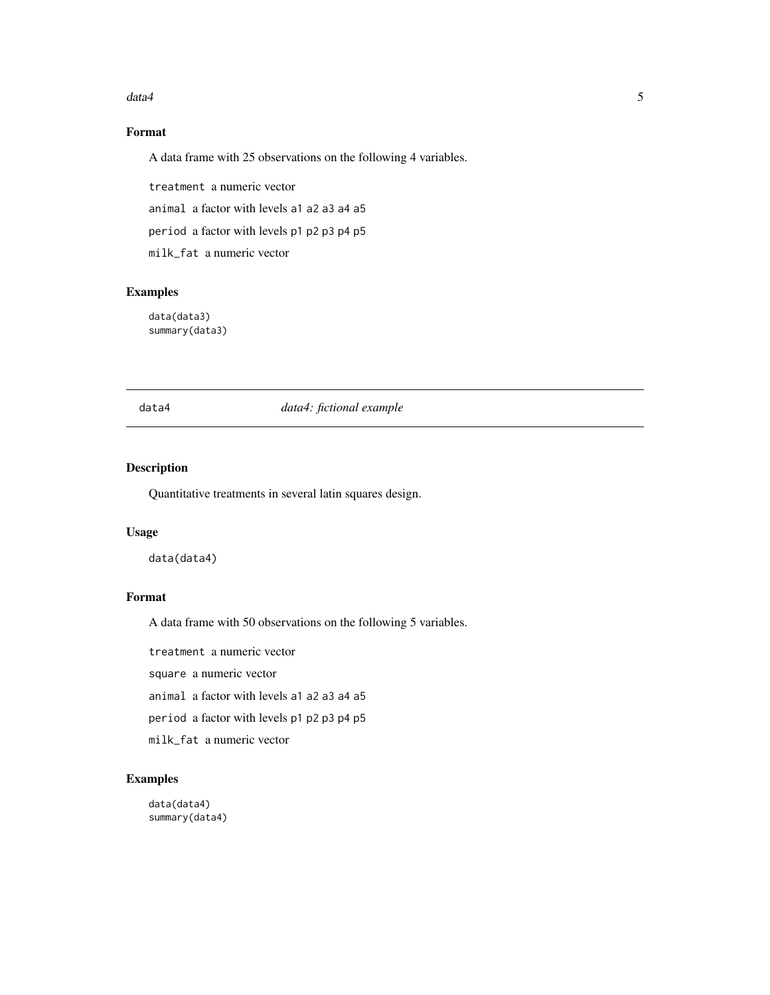#### <span id="page-4-0"></span> $data4$  5

#### Format

A data frame with 25 observations on the following 4 variables.

treatment a numeric vector

animal a factor with levels a1 a2 a3 a4 a5

period a factor with levels p1 p2 p3 p4 p5

milk\_fat a numeric vector

#### Examples

data(data3) summary(data3)

#### data4 *data4: fictional example*

#### Description

Quantitative treatments in several latin squares design.

#### Usage

data(data4)

#### Format

A data frame with 50 observations on the following 5 variables.

treatment a numeric vector

square a numeric vector

animal a factor with levels a1 a2 a3 a4 a5

period a factor with levels p1 p2 p3 p4 p5

milk\_fat a numeric vector

#### Examples

data(data4) summary(data4)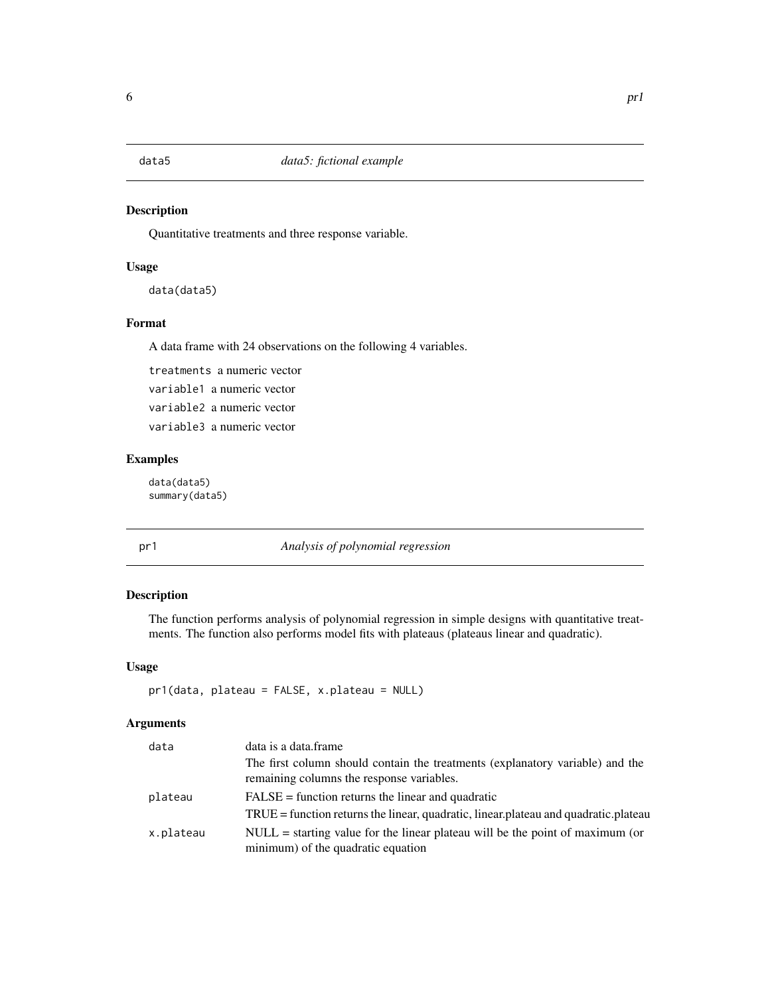<span id="page-5-0"></span>

#### Description

Quantitative treatments and three response variable.

#### Usage

```
data(data5)
```
#### Format

A data frame with 24 observations on the following 4 variables.

treatments a numeric vector variable1 a numeric vector variable2 a numeric vector variable3 a numeric vector

#### Examples

data(data5) summary(data5)

pr1 *Analysis of polynomial regression*

#### Description

The function performs analysis of polynomial regression in simple designs with quantitative treatments. The function also performs model fits with plateaus (plateaus linear and quadratic).

#### Usage

pr1(data, plateau = FALSE, x.plateau = NULL)

#### Arguments

| data      | data is a data frame                                                                                                       |
|-----------|----------------------------------------------------------------------------------------------------------------------------|
|           | The first column should contain the treatments (explanatory variable) and the<br>remaining columns the response variables. |
| plateau   | $FALSE = function returns the linear and quadratic$                                                                        |
|           | $TRUE = function$ returns the linear, quadratic, linear, plateau and quadratic, plateau                                    |
| x.plateau | $NULL = starting value for the linear plateau will be the point of maximum (or$<br>minimum) of the quadratic equation      |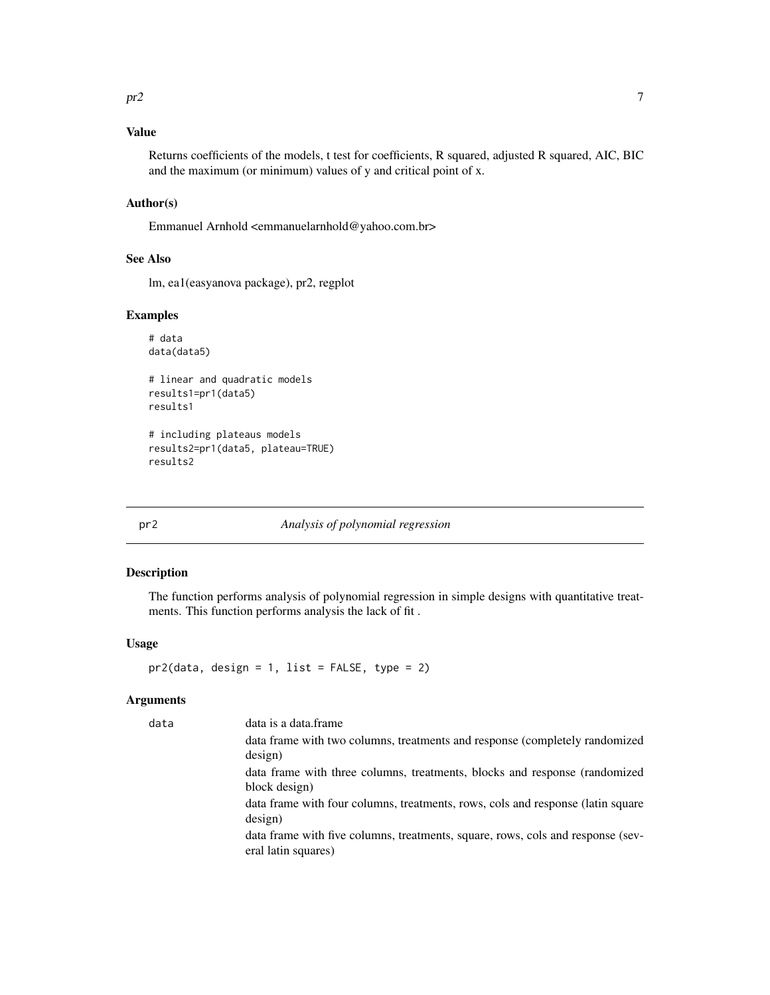#### <span id="page-6-0"></span>Value

Returns coefficients of the models, t test for coefficients, R squared, adjusted R squared, AIC, BIC and the maximum (or minimum) values of y and critical point of x.

#### Author(s)

Emmanuel Arnhold <emmanuelarnhold@yahoo.com.br>

#### See Also

lm, ea1(easyanova package), pr2, regplot

#### Examples

```
# data
data(data5)
```
# linear and quadratic models results1=pr1(data5) results1

# including plateaus models results2=pr1(data5, plateau=TRUE) results2

#### pr2 *Analysis of polynomial regression*

#### Description

The function performs analysis of polynomial regression in simple designs with quantitative treatments. This function performs analysis the lack of fit .

#### Usage

pr2(data, design = 1, list = FALSE, type = 2)

#### Arguments

| data | data is a data frame                                                            |
|------|---------------------------------------------------------------------------------|
|      | data frame with two columns, treatments and response (completely randomized     |
|      | design)                                                                         |
|      | data frame with three columns, treatments, blocks and response (randomized      |
|      | block design)                                                                   |
|      | data frame with four columns, treatments, rows, cols and response (latin square |
|      | design)                                                                         |
|      | data frame with five columns, treatments, square, rows, cols and response (sev- |
|      | eral latin squares)                                                             |
|      |                                                                                 |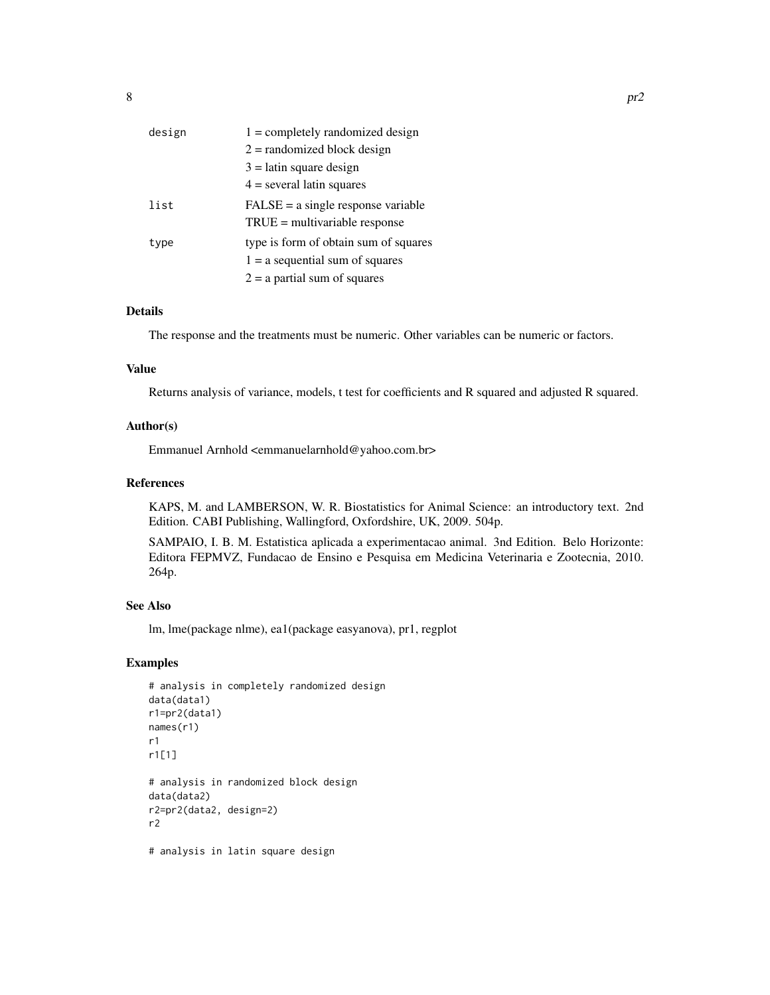| design | $1 =$ completely randomized design    |
|--------|---------------------------------------|
|        | $2 =$ randomized block design         |
|        | $3 =$ latin square design             |
|        | $4 =$ several latin squares           |
| list   | $FALSE = a single response variable$  |
|        | $TRUE = multivariable response$       |
| type   | type is form of obtain sum of squares |
|        | $1 = a$ sequential sum of squares     |
|        | $2 = a$ partial sum of squares        |

#### Details

The response and the treatments must be numeric. Other variables can be numeric or factors.

#### Value

Returns analysis of variance, models, t test for coefficients and R squared and adjusted R squared.

#### Author(s)

Emmanuel Arnhold <emmanuelarnhold@yahoo.com.br>

#### References

KAPS, M. and LAMBERSON, W. R. Biostatistics for Animal Science: an introductory text. 2nd Edition. CABI Publishing, Wallingford, Oxfordshire, UK, 2009. 504p.

SAMPAIO, I. B. M. Estatistica aplicada a experimentacao animal. 3nd Edition. Belo Horizonte: Editora FEPMVZ, Fundacao de Ensino e Pesquisa em Medicina Veterinaria e Zootecnia, 2010. 264p.

#### See Also

lm, lme(package nlme), ea1(package easyanova), pr1, regplot

#### Examples

```
# analysis in completely randomized design
data(data1)
r1=pr2(data1)
names(r1)
r1
r1[1]
# analysis in randomized block design
data(data2)
r2=pr2(data2, design=2)
r2
# analysis in latin square design
```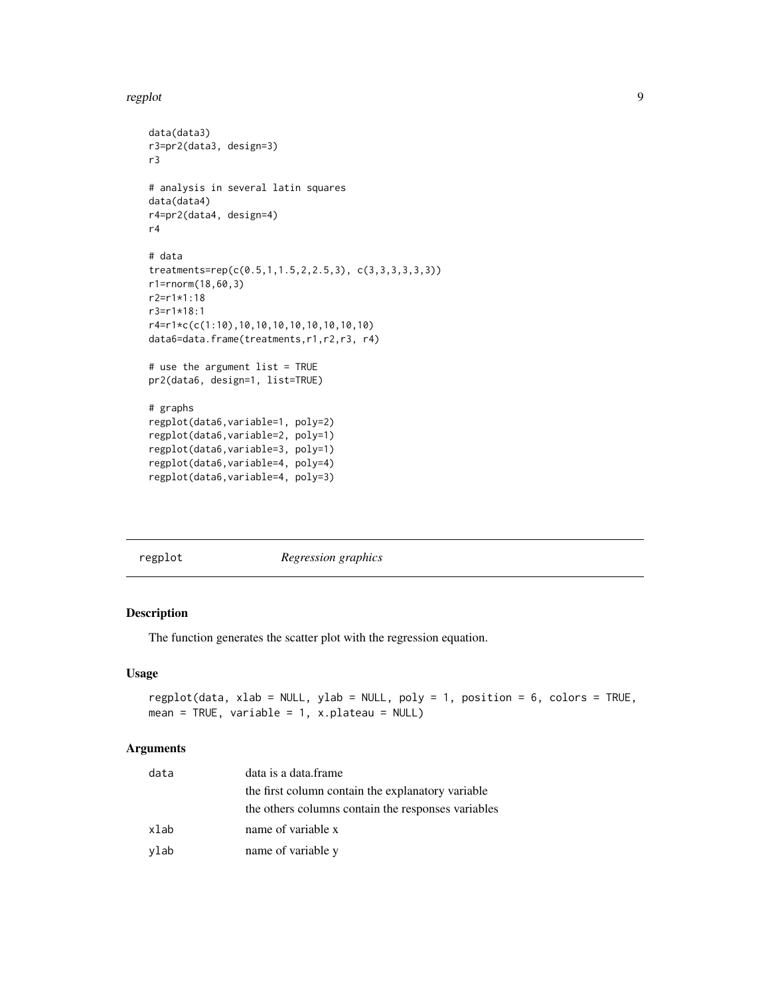#### <span id="page-8-0"></span>regplot that the contract of the contract of the contract of the contract of the contract of the contract of the contract of the contract of the contract of the contract of the contract of the contract of the contract of t

```
data(data3)
r3=pr2(data3, design=3)
r3
# analysis in several latin squares
data(data4)
r4=pr2(data4, design=4)
r4
# data
treatments=rep(c(0.5,1,1.5,2,2.5,3), c(3,3,3,3,3,3))
r1=rnorm(18,60,3)
r2=r1*1:18
r3=r1*18:1
r4=r1*c(c(1:10),10,10,10,10,10,10,10,10)
data6=data.frame(treatments,r1,r2,r3, r4)
# use the argument list = TRUE
pr2(data6, design=1, list=TRUE)
# graphs
regplot(data6,variable=1, poly=2)
regplot(data6,variable=2, poly=1)
regplot(data6,variable=3, poly=1)
regplot(data6,variable=4, poly=4)
regplot(data6,variable=4, poly=3)
```
regplot *Regression graphics*

#### Description

The function generates the scatter plot with the regression equation.

#### Usage

```
regplot(data, xlab = NULL, ylab = NULL, poly = 1, position = 6, colors = TRUE,
mean = TRUE, variable = 1, x.plateau = NULL)
```
#### Arguments

| data | data is a data frame                               |
|------|----------------------------------------------------|
|      | the first column contain the explanatory variable  |
|      | the others columns contain the responses variables |
| xlab | name of variable x                                 |
| ylab | name of variable y                                 |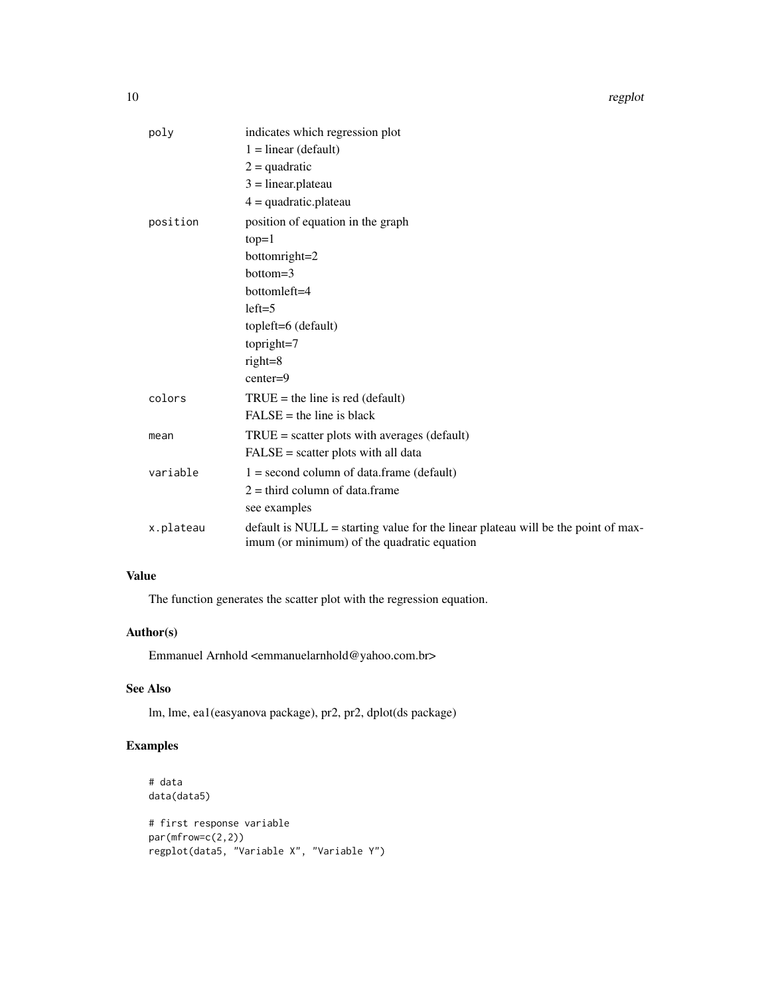10 regplot

| poly      | indicates which regression plot                                                                                                  |
|-----------|----------------------------------------------------------------------------------------------------------------------------------|
|           | $1 = linear (default)$                                                                                                           |
|           | $2 =$ quadratic                                                                                                                  |
|           | $3 = linear.plateau$                                                                                                             |
|           | $4 =$ quadratic.plateau                                                                                                          |
| position  | position of equation in the graph                                                                                                |
|           | $top=1$                                                                                                                          |
|           | bottomright=2                                                                                                                    |
|           | $bottom=3$                                                                                                                       |
|           | bottomleft=4                                                                                                                     |
|           | $left=5$                                                                                                                         |
|           | topleft=6 (default)                                                                                                              |
|           | topright=7                                                                                                                       |
|           | $right=8$                                                                                                                        |
|           | $center=9$                                                                                                                       |
| colors    | $TRUE =$ the line is red (default)                                                                                               |
|           | $FALSE = the line is black$                                                                                                      |
| mean      | $TRUE = scatter$ plots with averages (default)                                                                                   |
|           | $FALSE = scatter plots with all data$                                                                                            |
| variable  | $1 =$ second column of data.frame (default)                                                                                      |
|           | $2 =$ third column of data.frame                                                                                                 |
|           | see examples                                                                                                                     |
| x.plateau | default is NULL = starting value for the linear plateau will be the point of max-<br>imum (or minimum) of the quadratic equation |

#### Value

The function generates the scatter plot with the regression equation.

#### Author(s)

Emmanuel Arnhold <emmanuelarnhold@yahoo.com.br>

#### See Also

lm, lme, ea1(easyanova package), pr2, pr2, dplot(ds package)

#### Examples

```
# data
data(data5)
# first response variable
par(mfrow=c(2,2))
regplot(data5, "Variable X", "Variable Y")
```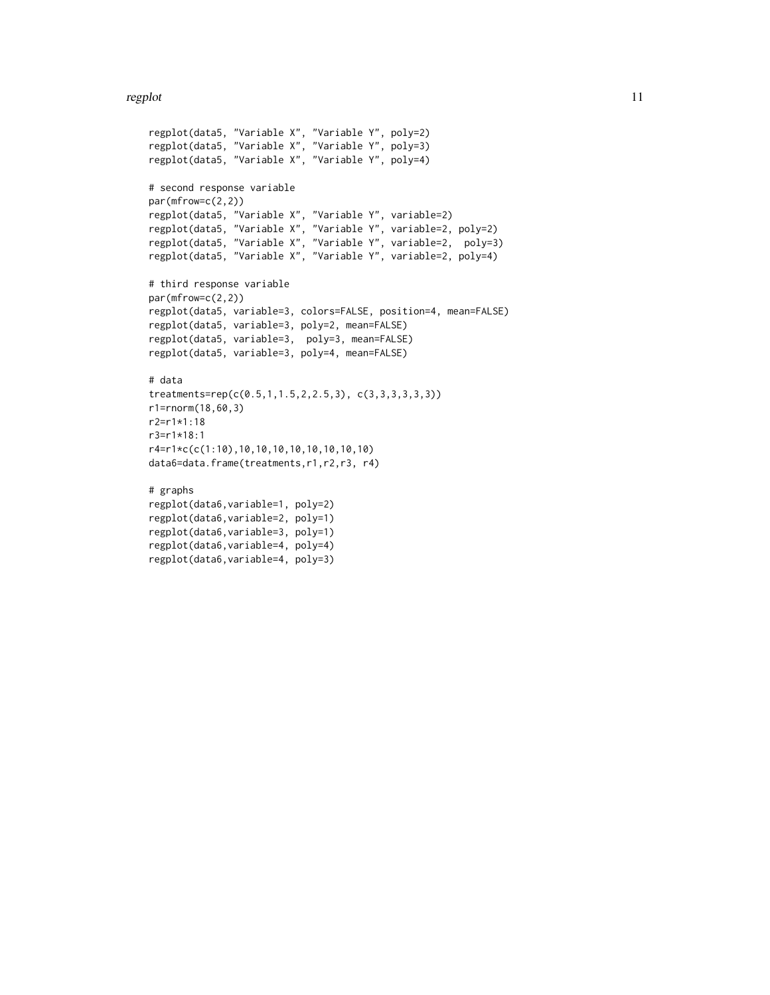#### regplot that the contract of the contract of the contract of the contract of the contract of the contract of the contract of the contract of the contract of the contract of the contract of the contract of the contract of t

```
regplot(data5, "Variable X", "Variable Y", poly=2)
regplot(data5, "Variable X", "Variable Y", poly=3)
regplot(data5, "Variable X", "Variable Y", poly=4)
# second response variable
par(mfrow=c(2,2))
regplot(data5, "Variable X", "Variable Y", variable=2)
regplot(data5, "Variable X", "Variable Y", variable=2, poly=2)
regplot(data5, "Variable X", "Variable Y", variable=2, poly=3)
regplot(data5, "Variable X", "Variable Y", variable=2, poly=4)
# third response variable
par(mfrow=c(2,2))
regplot(data5, variable=3, colors=FALSE, position=4, mean=FALSE)
regplot(data5, variable=3, poly=2, mean=FALSE)
regplot(data5, variable=3, poly=3, mean=FALSE)
regplot(data5, variable=3, poly=4, mean=FALSE)
# data
treatments=rep(c(0.5,1,1.5,2,2.5,3), c(3,3,3,3,3,3))
r1=rnorm(18,60,3)
r2=r1*1:18
r3=r1*18:1
r4=r1*c(c(1:10),10,10,10,10,10,10,10,10)
data6=data.frame(treatments,r1,r2,r3, r4)
# graphs
regplot(data6,variable=1, poly=2)
regplot(data6,variable=2, poly=1)
regplot(data6,variable=3, poly=1)
regplot(data6,variable=4, poly=4)
regplot(data6,variable=4, poly=3)
```